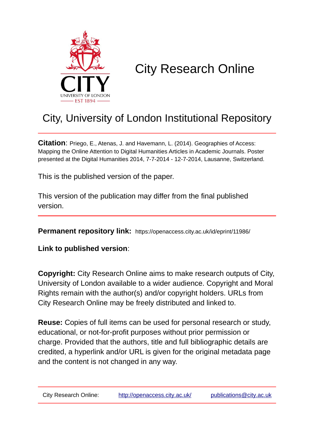

## City Research Online

## City, University of London Institutional Repository

**Citation**: Priego, E., Atenas, J. and Havemann, L. (2014). Geographies of Access: Mapping the Online Attention to Digital Humanities Articles in Academic Journals. Poster presented at the Digital Humanities 2014, 7-7-2014 - 12-7-2014, Lausanne, Switzerland.

This is the published version of the paper.

This version of the publication may differ from the final published version.

**Permanent repository link:** https://openaccess.city.ac.uk/id/eprint/11986/

**Link to published version**:

**Copyright:** City Research Online aims to make research outputs of City, University of London available to a wider audience. Copyright and Moral Rights remain with the author(s) and/or copyright holders. URLs from City Research Online may be freely distributed and linked to.

**Reuse:** Copies of full items can be used for personal research or study, educational, or not-for-profit purposes without prior permission or charge. Provided that the authors, title and full bibliographic details are credited, a hyperlink and/or URL is given for the original metadata page and the content is not changed in any way.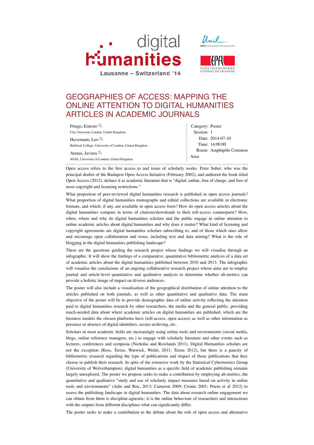





## GEOGRAPHIES OF ACCESS: MAPPING THE ONLINE ATTENTION TO DIGITAL HUMANITIES ARTICLES IN ACADEMIC JOURNALS

| Priego, Ernesto <sup>Q</sup>                           | Category: Poster       |
|--------------------------------------------------------|------------------------|
| City University London, United Kingdom                 | Session: 1             |
| Havemann, Leo $Q$                                      | Date: 2014-07-10       |
| Birkbeck College, University of London, United Kingdom | Time: 14:00:00         |
| Atenas, Javiera <sup>Q</sup>                           | Room: Amphipôle Common |
| SOAS, University of London, United Kingdom             | Area                   |

Open access refers to the free access to and reuse of scholarly works. Peter Suber, who was the principal drafter of the Budapest Open Access Initiative (February 2002), and authored the book titled Open Access (2012), defines it as academic literature that is "digital, online, free of charge, and free of most copyright and licensing restrictions."

What proportion of peer-reviewed digital humanities research is published in open access journals? What proportion of digital humanities monographs and edited collections are available in electronic formats, and which, if any, are available in open access form? How do open access articles about the digital humanities compare in terms of citations/downloads to their toll-access counterparts? How, when, where and why do digital humanities scholars and the public engage in online attention to online academic articles about digital humanities and why does it matter? What kind of licensing and copyright agreements are digital humanities scholars subscribing to, and of those which ones allow and encourage open collaboration and reuse, including text and data mining? What is the role of blogging in the digital humanities publishing landscape?

These are the questions guiding the research project whose findings we will visualise through an infographic. It will show the findings of a comparative, quantitative bibliometric analysis of a data set of academic articles about the digital humanities published between 2010 and 2013. The infographic will visualise the conclusions of an ongoing collaborative research project whose aims are to employ journal and article-level quantitative and qualitative analysis to determine whether alt-metrics can provide a holistic image of impact on diverse audiences.

The poster will also include a visualisation of the geographical distribution of online attention to the articles published on both journals, as well as other quantitative and qualitative data. The main objective of the poster will be to provide demographic data of online activity reflecting the attention paid to digital humanities research by other researchers, the media and the general public, providing much-needed data about where academic articles on digital humanities are published, which are the business models the chosen platforms have (toll-access, open access) as well as other information as presence or absence of digital identifiers, secure archiving, etc.

Scholars in most academic fields are increasingly using online tools and environments (social media, blogs, online reference managers, etc.) to engage with scholarly literature and other events such as lectures, conferences and symposia (Nicholas and Rowlands 2011). Digital Humanities scholars are not the exception (Ross, Terras, Warwick, Welsh, 2011; Terras 2012), but there is a paucity of bibliometric research regarding the type of publications and impact of those publications that they choose to publish their research. In spite of the extensive work by the Statistical Cybermetrics Group (University of Wolverhampton), digital humanities as a specific field of academic publishing remains largely unexplored. The poster we propose seeks to make a contribution by employing alt-metrics, the quantitative and qualitative "study and use of scholarly impact measures based on activity in online tools and environments" (Adie and Roe, 2013; Cameron 2009; Cronin 2001; Priem et al 2012) to assess the publishing landscape in digital humanities. The data about research online engagement we can obtain from them is discipline-agnostic; it is the online behaviour of researchers and interactions with the outputs from different disciplines what can significantly differ.

The poster seeks to make a contribution to the debate about the role of open access and alternative